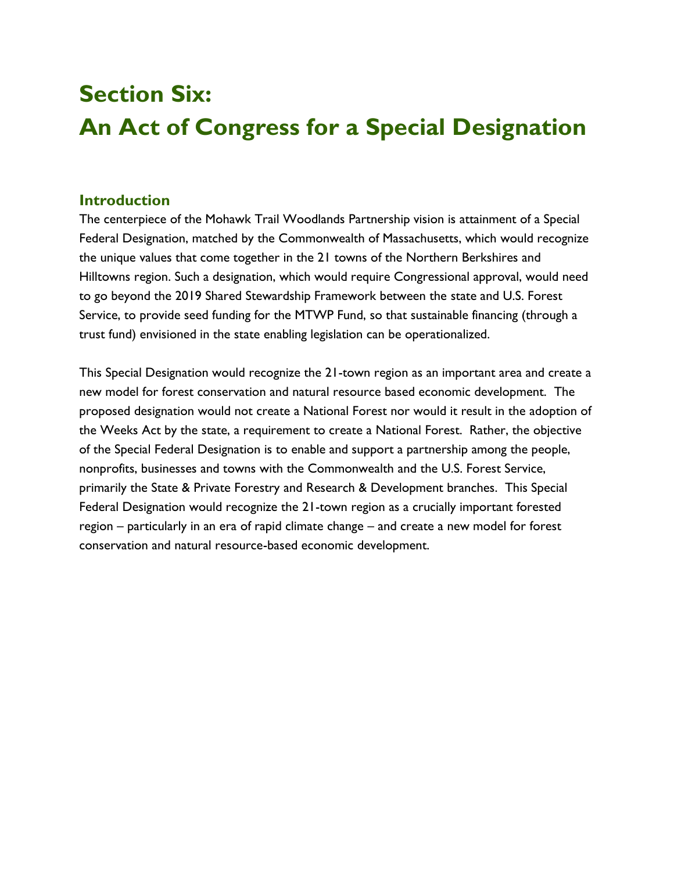# **Section Six: An Act of Congress for a Special Designation**

#### **Introduction**

The centerpiece of the Mohawk Trail Woodlands Partnership vision is attainment of a Special Federal Designation, matched by the Commonwealth of Massachusetts, which would recognize the unique values that come together in the 21 towns of the Northern Berkshires and Hilltowns region. Such a designation, which would require Congressional approval, would need to go beyond the 2019 Shared Stewardship Framework between the state and U.S. Forest Service, to provide seed funding for the MTWP Fund, so that sustainable financing (through a trust fund) envisioned in the state enabling legislation can be operationalized.

This Special Designation would recognize the 21-town region as an important area and create a new model for forest conservation and natural resource based economic development. The proposed designation would not create a National Forest nor would it result in the adoption of the Weeks Act by the state, a requirement to create a National Forest. Rather, the objective of the Special Federal Designation is to enable and support a partnership among the people, nonprofits, businesses and towns with the Commonwealth and the U.S. Forest Service, primarily the State & Private Forestry and Research & Development branches. This Special Federal Designation would recognize the 21-town region as a crucially important forested region – particularly in an era of rapid climate change – and create a new model for forest conservation and natural resource-based economic development.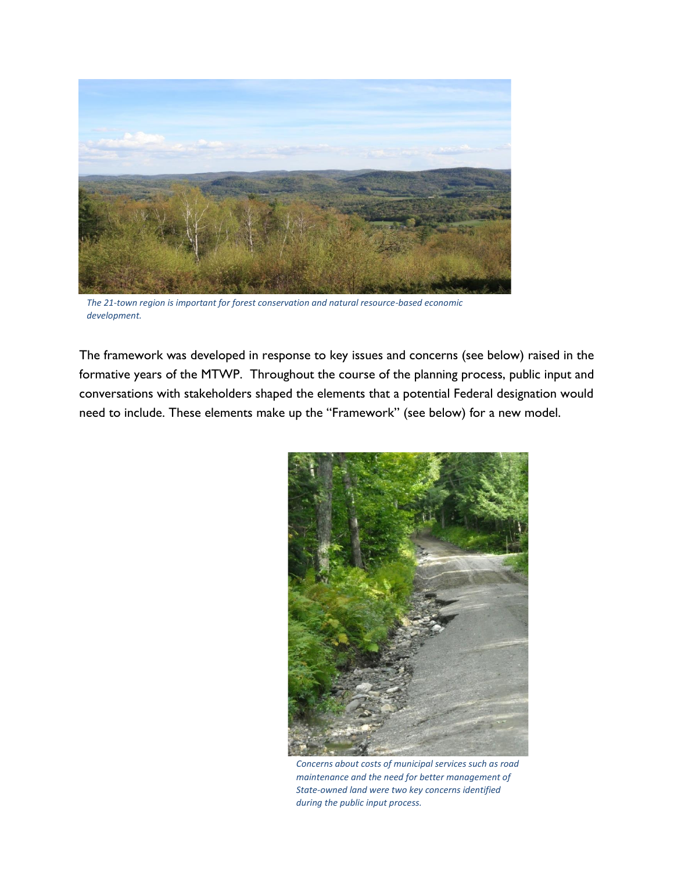

*The 21-town region is important for forest conservation and natural resource-based economic development.*

The framework was developed in response to key issues and concerns (see below) raised in the formative years of the MTWP. Throughout the course of the planning process, public input and conversations with stakeholders shaped the elements that a potential Federal designation would need to include. These elements make up the "Framework" (see below) for a new model.



*Concerns about costs of municipal services such as road maintenance and the need for better management of State-owned land were two key concerns identified during the public input process.*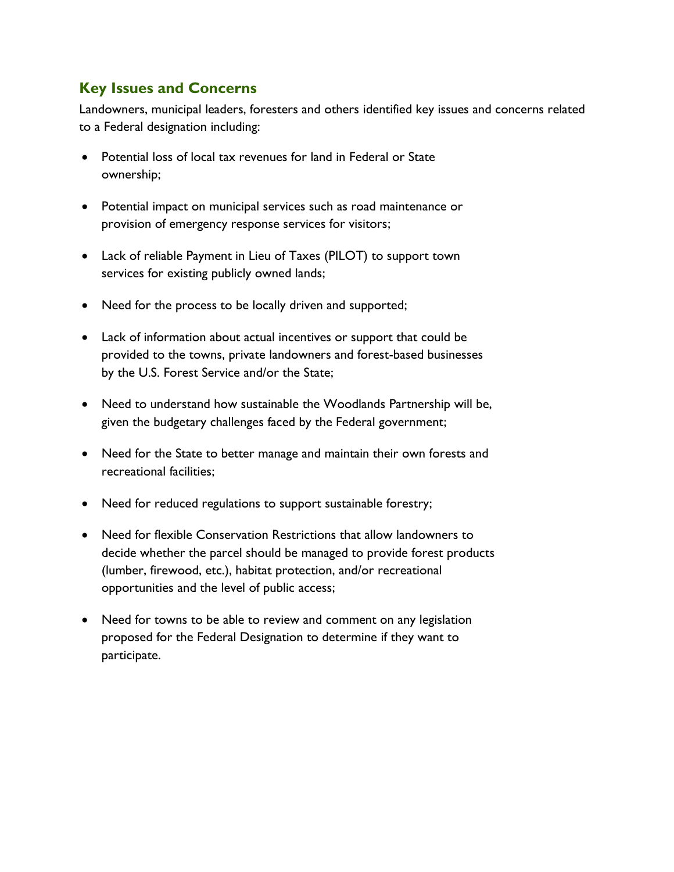# **Key Issues and Concerns**

Landowners, municipal leaders, foresters and others identified key issues and concerns related to a Federal designation including:

- Potential loss of local tax revenues for land in Federal or State ownership;
- Potential impact on municipal services such as road maintenance or provision of emergency response services for visitors;
- Lack of reliable Payment in Lieu of Taxes (PILOT) to support town services for existing publicly owned lands;
- Need for the process to be locally driven and supported;
- Lack of information about actual incentives or support that could be provided to the towns, private landowners and forest-based businesses by the U.S. Forest Service and/or the State;
- Need to understand how sustainable the Woodlands Partnership will be, given the budgetary challenges faced by the Federal government;
- Need for the State to better manage and maintain their own forests and recreational facilities;
- Need for reduced regulations to support sustainable forestry;
- Need for flexible Conservation Restrictions that allow landowners to decide whether the parcel should be managed to provide forest products (lumber, firewood, etc.), habitat protection, and/or recreational opportunities and the level of public access;
- Need for towns to be able to review and comment on any legislation proposed for the Federal Designation to determine if they want to participate.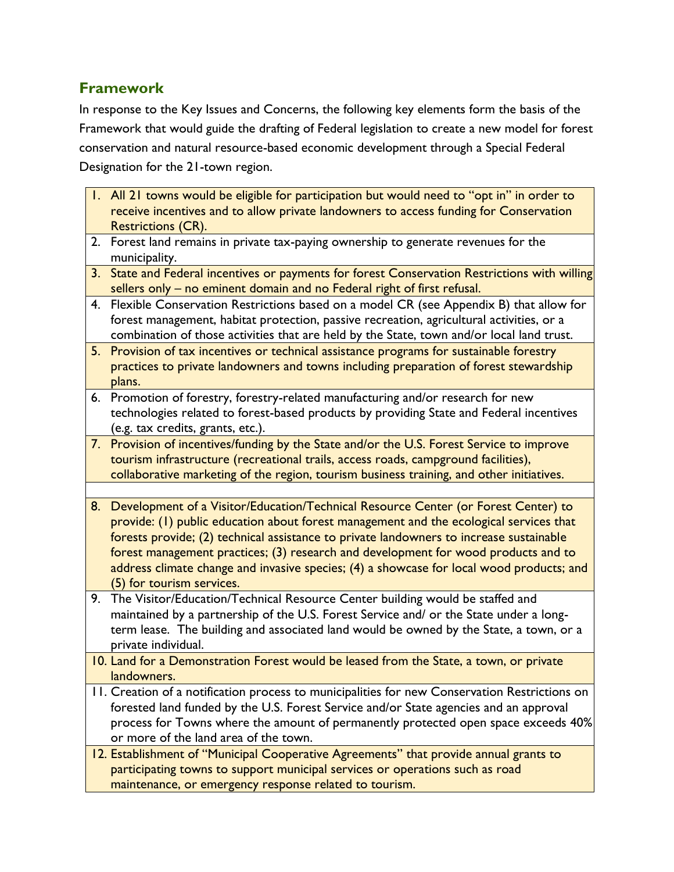## **Framework**

In response to the Key Issues and Concerns, the following key elements form the basis of the Framework that would guide the drafting of Federal legislation to create a new model for forest conservation and natural resource-based economic development through a Special Federal Designation for the 21-town region.

|    | 1. All 21 towns would be eligible for participation but would need to "opt in" in order to                                                                                    |
|----|-------------------------------------------------------------------------------------------------------------------------------------------------------------------------------|
|    | receive incentives and to allow private landowners to access funding for Conservation                                                                                         |
|    | <b>Restrictions (CR).</b>                                                                                                                                                     |
| 2. | Forest land remains in private tax-paying ownership to generate revenues for the<br>municipality.                                                                             |
| 3. | State and Federal incentives or payments for forest Conservation Restrictions with willing                                                                                    |
|    | sellers only - no eminent domain and no Federal right of first refusal.                                                                                                       |
| 4. | Flexible Conservation Restrictions based on a model CR (see Appendix B) that allow for                                                                                        |
|    | forest management, habitat protection, passive recreation, agricultural activities, or a                                                                                      |
|    | combination of those activities that are held by the State, town and/or local land trust.                                                                                     |
|    | 5. Provision of tax incentives or technical assistance programs for sustainable forestry                                                                                      |
|    | practices to private landowners and towns including preparation of forest stewardship                                                                                         |
|    | plans.                                                                                                                                                                        |
|    | 6. Promotion of forestry, forestry-related manufacturing and/or research for new                                                                                              |
|    | technologies related to forest-based products by providing State and Federal incentives                                                                                       |
|    | (e.g. tax credits, grants, etc.).                                                                                                                                             |
|    | 7. Provision of incentives/funding by the State and/or the U.S. Forest Service to improve                                                                                     |
|    | tourism infrastructure (recreational trails, access roads, campground facilities),                                                                                            |
|    | collaborative marketing of the region, tourism business training, and other initiatives.                                                                                      |
|    |                                                                                                                                                                               |
| 8. | Development of a Visitor/Education/Technical Resource Center (or Forest Center) to                                                                                            |
|    | provide: (1) public education about forest management and the ecological services that                                                                                        |
|    | forests provide; (2) technical assistance to private landowners to increase sustainable<br>forest management practices; (3) research and development for wood products and to |
|    | address climate change and invasive species; (4) a showcase for local wood products; and                                                                                      |
|    | (5) for tourism services.                                                                                                                                                     |
| 9. | The Visitor/Education/Technical Resource Center building would be staffed and                                                                                                 |
|    | maintained by a partnership of the U.S. Forest Service and/ or the State under a long-                                                                                        |
|    | term lease. The building and associated land would be owned by the State, a town, or a                                                                                        |
|    | private individual.                                                                                                                                                           |
|    | 10. Land for a Demonstration Forest would be leased from the State, a town, or private                                                                                        |
|    | landowners.                                                                                                                                                                   |
|    | 11. Creation of a notification process to municipalities for new Conservation Restrictions on                                                                                 |
|    | forested land funded by the U.S. Forest Service and/or State agencies and an approval                                                                                         |
|    | process for Towns where the amount of permanently protected open space exceeds 40%                                                                                            |
|    | or more of the land area of the town.                                                                                                                                         |
|    | 12. Establishment of "Municipal Cooperative Agreements" that provide annual grants to                                                                                         |
|    | participating towns to support municipal services or operations such as road                                                                                                  |
|    | maintenance, or emergency response related to tourism.                                                                                                                        |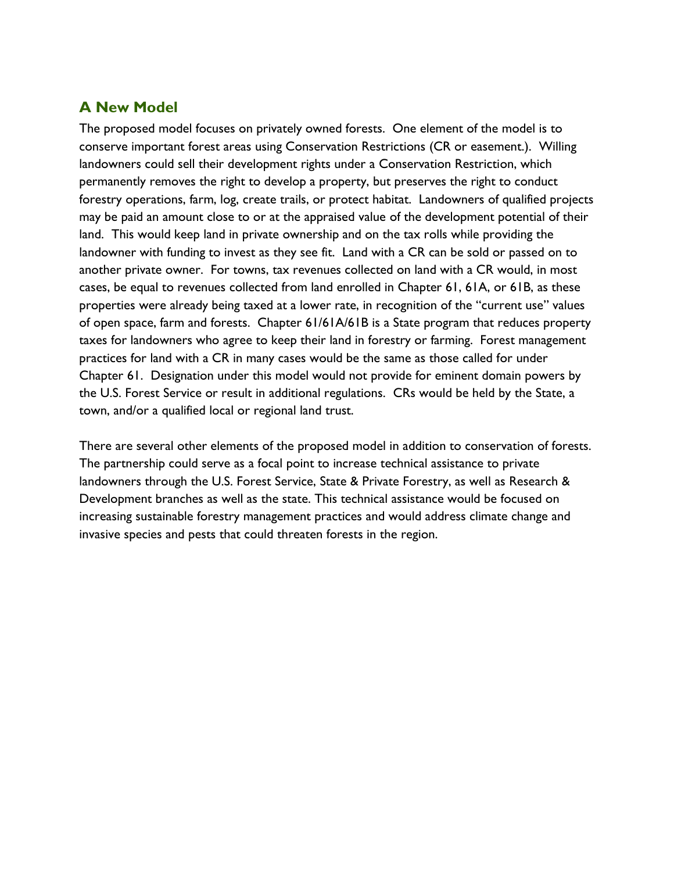## **A New Model**

The proposed model focuses on privately owned forests. One element of the model is to conserve important forest areas using Conservation Restrictions (CR or easement.). Willing landowners could sell their development rights under a Conservation Restriction, which permanently removes the right to develop a property, but preserves the right to conduct forestry operations, farm, log, create trails, or protect habitat. Landowners of qualified projects may be paid an amount close to or at the appraised value of the development potential of their land. This would keep land in private ownership and on the tax rolls while providing the landowner with funding to invest as they see fit. Land with a CR can be sold or passed on to another private owner. For towns, tax revenues collected on land with a CR would, in most cases, be equal to revenues collected from land enrolled in Chapter 61, 61A, or 61B, as these properties were already being taxed at a lower rate, in recognition of the "current use" values of open space, farm and forests. Chapter 61/61A/61B is a State program that reduces property taxes for landowners who agree to keep their land in forestry or farming. Forest management practices for land with a CR in many cases would be the same as those called for under Chapter 61. Designation under this model would not provide for eminent domain powers by the U.S. Forest Service or result in additional regulations. CRs would be held by the State, a town, and/or a qualified local or regional land trust.

There are several other elements of the proposed model in addition to conservation of forests. The partnership could serve as a focal point to increase technical assistance to private landowners through the U.S. Forest Service, State & Private Forestry, as well as Research & Development branches as well as the state. This technical assistance would be focused on increasing sustainable forestry management practices and would address climate change and invasive species and pests that could threaten forests in the region.